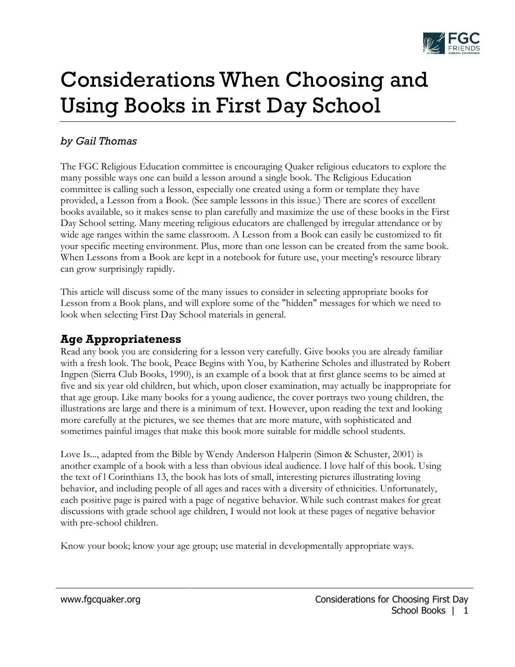

# Considerations When Choosing and Using Books in First Day School

#### *by Gail Thomas*

The FGC Religious Education committee is encouraging Quaker religious educators to explore the many possible ways one can build a lesson around a single book. The Religious Education committee is calling such a lesson, especially one created using a form or template they have provided, a Lesson from a Book. (See sample lessons in this issue.) There are scores of excellent books available, so it makes sense to plan carefully and maximize the use of these books in the First Day School setting. Many meeting religious educators are challenged by irregular attendance or by wide age ranges within the same classroom. A Lesson from a Book can easily be customized to fit your specific meeting environment. Plus, more than one lesson can be created from the same book. When Lessons from a Book are kept in a notebook for future use, your meeting's resource library can grow surprisingly rapidly.

This article will discuss some of the many issues to consider in selecting appropriate books for Lesson from a Book plans, and will explore some of the "hidden" messages for which we need to look when selecting First Day School materials in general.

## **Age Appropriateness**

Read any book you are considering for a lesson very carefully. Give books you are already familiar with a fresh look. The book, Peace Begins with You, by Katherine Scholes and illustrated by Robert Ingpen (Sierra Club Books, 1990), is an example of a book that at first glance seems to be aimed at five and six year old children, but which, upon closer examination, may actually be inappropriate for that age group. Like many books for a young audience, the cover portrays two young children, the illustrations are large and there is a minimum of text. However, upon reading the text and looking more carefully at the pictures, we see themes that are more mature, with sophisticated and sometimes painful images that make this book more suitable for middle school students.

Love Is..., adapted from the Bible by Wendy Anderson Halperin (Simon & Schuster, 2001) is another example of a book with a less than obvious ideal audience. I love half of this book. Using the text of l Corinthians 13, the book has lots of small, interesting pictures illustrating loving behavior, and including people of all ages and races with a diversity of ethnicities. Unfortunately, each positive page is paired with a page of negative behavior. While such contrast makes for great discussions with grade school age children, I would not look at these pages of negative behavior with pre-school children.

Know your book; know your age group; use material in developmentally appropriate ways.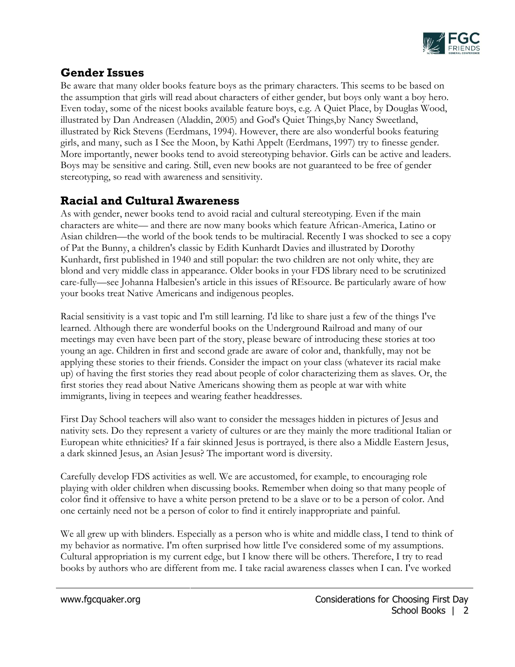

# **Gender Issues**

Be aware that many older books feature boys as the primary characters. This seems to be based on the assumption that girls will read about characters of either gender, but boys only want a boy hero. Even today, some of the nicest books available feature boys, e.g. A Quiet Place, by Douglas Wood, illustrated by Dan Andreasen (Aladdin, 2005) and God's Quiet Things,by Nancy Sweetland, illustrated by Rick Stevens (Eerdmans, 1994). However, there are also wonderful books featuring girls, and many, such as I See the Moon, by Kathi Appelt (Eerdmans, 1997) try to finesse gender. More importantly, newer books tend to avoid stereotyping behavior. Girls can be active and leaders. Boys may be sensitive and caring. Still, even new books are not guaranteed to be free of gender stereotyping, so read with awareness and sensitivity.

## **Racial and Cultural Awareness**

As with gender, newer books tend to avoid racial and cultural stereotyping. Even if the main characters are white— and there are now many books which feature African-America, Latino or Asian children—the world of the book tends to be multiracial. Recently I was shocked to see a copy of Pat the Bunny, a children's classic by Edith Kunhardt Davies and illustrated by Dorothy Kunhardt, first published in 1940 and still popular: the two children are not only white, they are blond and very middle class in appearance. Older books in your FDS library need to be scrutinized care-fully—see Johanna Halbesien's article in this issues of REsource. Be particularly aware of how your books treat Native Americans and indigenous peoples.

Racial sensitivity is a vast topic and I'm still learning. I'd like to share just a few of the things I've learned. Although there are wonderful books on the Underground Railroad and many of our meetings may even have been part of the story, please beware of introducing these stories at too young an age. Children in first and second grade are aware of color and, thankfully, may not be applying these stories to their friends. Consider the impact on your class (whatever its racial make up) of having the first stories they read about people of color characterizing them as slaves. Or, the first stories they read about Native Americans showing them as people at war with white immigrants, living in teepees and wearing feather headdresses.

First Day School teachers will also want to consider the messages hidden in pictures of Jesus and nativity sets. Do they represent a variety of cultures or are they mainly the more traditional Italian or European white ethnicities? If a fair skinned Jesus is portrayed, is there also a Middle Eastern Jesus, a dark skinned Jesus, an Asian Jesus? The important word is diversity.

Carefully develop FDS activities as well. We are accustomed, for example, to encouraging role playing with older children when discussing books. Remember when doing so that many people of color find it offensive to have a white person pretend to be a slave or to be a person of color. And one certainly need not be a person of color to find it entirely inappropriate and painful.

We all grew up with blinders. Especially as a person who is white and middle class, I tend to think of my behavior as normative. I'm often surprised how little I've considered some of my assumptions. Cultural appropriation is my current edge, but I know there will be others. Therefore, I try to read books by authors who are different from me. I take racial awareness classes when I can. I've worked